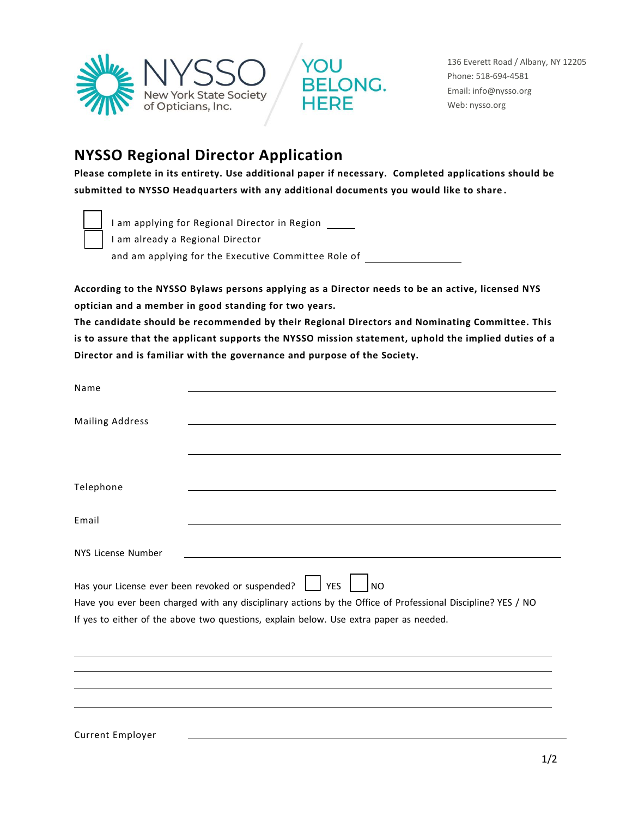



136 Everett Road / Albany, NY 12205 Phone: 518-694-4581 Email: info@nysso.org Web: nysso.org

## **NYSSO Regional Director Application**

**Please complete in its entirety. Use additional paper if necessary. Completed applications should be submitted to NYSSO Headquarters with any additional documents you would like to share .**



I am applying for Regional Director in Region

I am already a Regional Director

and am applying for the Executive Committee Role of

**According to the NYSSO Bylaws persons applying as a Director needs to be an active, licensed NYS optician and a member in good standing for two years.** 

**The candidate should be recommended by their Regional Directors and Nominating Committee. This is to assure that the applicant supports the NYSSO mission statement, uphold the implied duties of a Director and is familiar with the governance and purpose of the Society.**

| Name                   |                                                                                                                                                                                                       |
|------------------------|-------------------------------------------------------------------------------------------------------------------------------------------------------------------------------------------------------|
| <b>Mailing Address</b> |                                                                                                                                                                                                       |
| Telephone              |                                                                                                                                                                                                       |
| Email                  |                                                                                                                                                                                                       |
| NYS License Number     |                                                                                                                                                                                                       |
|                        | Has your License ever been revoked or suspended?<br>$\vert$ YES<br> NO                                                                                                                                |
|                        | Have you ever been charged with any disciplinary actions by the Office of Professional Discipline? YES / NO<br>If yes to either of the above two questions, explain below. Use extra paper as needed. |
|                        |                                                                                                                                                                                                       |
|                        |                                                                                                                                                                                                       |
|                        |                                                                                                                                                                                                       |

Current Employer